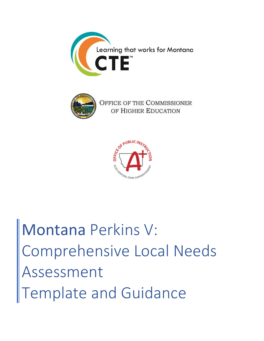



OFFICE OF THE COMMISSIONER OF HIGHER EDUCATION



Montana Perkins V: Comprehensive Local Needs Assessment Template and Guidance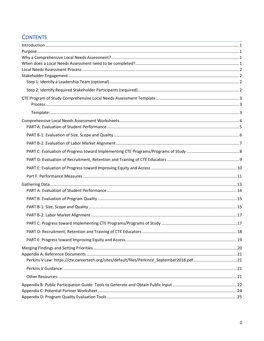# **CONTENTS**

| ,我们也不能在这里,我们也不能不能会不能会不能会不能会不能会不能会不能会不能会。""我们的人,我们也不能会不能会不能会不能会不能会不能会不能会。""我们的人,我           |    |
|--------------------------------------------------------------------------------------------|----|
|                                                                                            |    |
|                                                                                            |    |
|                                                                                            |    |
|                                                                                            |    |
|                                                                                            |    |
|                                                                                            |    |
|                                                                                            |    |
|                                                                                            |    |
|                                                                                            |    |
|                                                                                            |    |
|                                                                                            |    |
|                                                                                            |    |
|                                                                                            |    |
|                                                                                            |    |
|                                                                                            |    |
|                                                                                            |    |
|                                                                                            |    |
|                                                                                            |    |
|                                                                                            |    |
|                                                                                            |    |
|                                                                                            |    |
|                                                                                            |    |
|                                                                                            |    |
|                                                                                            | 18 |
|                                                                                            |    |
|                                                                                            |    |
|                                                                                            |    |
| Perkins V Law: https://cte.careertech.org/sites/default/files/PerkinsV_September2018.pdf21 |    |
|                                                                                            |    |
|                                                                                            |    |
|                                                                                            |    |
|                                                                                            |    |
|                                                                                            |    |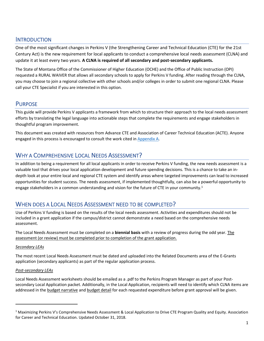## <span id="page-2-0"></span>**INTRODUCTION**

One of the most significant changes in Perkins V (the Strengthening Career and Technical Education (CTE) for the 21st Century Act) is the new requirement for local applicants to conduct a comprehensive local needs assessment (CLNA) and update it at least every two years. **A CLNA is required of all secondary and post-secondary applicants.**

The State of Montana Office of the Commissioner of Higher Education (OCHE) and the Office of Public Instruction (OPI) requested a RURAL WAIVER that allows all secondary schools to apply for Perkins V funding. After reading through the CLNA, you may choose to join a regional collective with other schools and/or colleges in order to submit one regional CLNA. Please call your CTE Specialist if you are interested in this option.

## <span id="page-2-1"></span>PURPOSE

This guide will provide Perkins V applicants a framework from which to structure their approach to the local needs assessment efforts by translating the legal language into actionable steps that complete the requirements and engage stakeholders in thoughtful program improvement.

This document was created with resources from Advance CTE and Association of Career Technical Education (ACTE). Anyone engaged in this process is encouraged to consult the work cited in [Appendix A.](#page-22-0)

## <span id="page-2-2"></span>WHY A COMPREHENSIVE LOCAL NEEDS ASSESSMENT?

In addition to being a requirement for all local applicants in order to receive Perkins V funding, the new needs assessment is a valuable tool that drives your local application development and future spending decisions. This is a chance to take an indepth look at your entire local and regional CTE system and identify areas where targeted improvements can lead to increased opportunities for student success. The needs assessment, if implemented thoughtfully, can also be a powerful opportunity to engage stakeholders in a common understanding and vision for the future of CTE in your community.<sup>1</sup>

## <span id="page-2-3"></span>WHEN DOES A LOCAL NEEDS ASSESSMENT NEED TO BE COMPLETED?

Use of Perkins V funding is based on the results of the local needs assessment. Activities and expenditures should not be included in a grant application if the campus/district cannot demonstrate a need based on the comprehensive needs assessment.

The Local Needs Assessment must be completed on a **biennial basis** with a review of progress during the odd year. The assessment (or review) must be completed prior to completion of the grant application.

## *Secondary LEAs*

The most recent Local Needs Assessment must be dated and uploaded into the Related Documents area of the E-Grants application (secondary applicants) as part of the regular application process.

## *Post-secondary LEAs*

Local Needs Assessment worksheets should be emailed as a .pdf to the Perkins Program Manager as part of your Postsecondary Local Application packet. Additionally, in the Local Application, recipients will need to identify which CLNA items are addressed in the budget narrative and budget detail for each requested expenditure before grant approval will be given.

<sup>&</sup>lt;sup>1</sup> Maximizing Perkins V's Comprehensive Needs Assessment & Local Application to Drive CTE Program Quality and Equity. Association for Career and Technical Education. Updated October 31, 2018.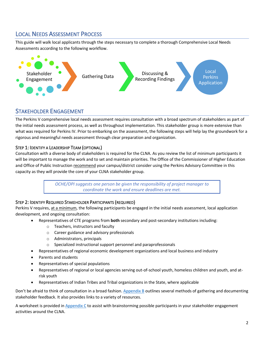## <span id="page-3-0"></span>LOCAL NEEDS ASSESSMENT PROCESS

This guide will walk local applicants through the steps necessary to complete a thorough Comprehensive Local Needs Assessments according to the following workflow.



## <span id="page-3-1"></span>STAKEHOLDER ENGAGEMENT

The Perkins V comprehensive local needs assessment requires consultation with a broad spectrum of stakeholders as part of the initial needs assessment process, as well as throughout implementation. This stakeholder group is more extensive than what was required for Perkins IV. Prior to embarking on the assessment, the following steps will help lay the groundwork for a rigorous and meaningful needs assessment through clear preparation and organization.

## <span id="page-3-2"></span>STEP 1: IDENTIFY A LEADERSHIP TEAM (OPTIONAL)

Consultation with a diverse body of stakeholders is required for the CLNA. As you review the list of minimum participants it will be important to manage the work and to set and maintain priorities. The Office of the Commissioner of Higher Education and Office of Public Instruction recommend your campus/district consider using the Perkins Advisory Committee in this capacity as they will provide the core of your CLNA stakeholder group.

> *OCHE/OPI suggests one person be given the responsibility of project manager to coordinate the work and ensure deadlines are met.*

## <span id="page-3-3"></span>STEP 2: IDENTIFY REQUIRED STAKEHOLDER PARTICIPANTS (REQUIRED)

Perkins V requires, at a minimum, the following participants be engaged in the initial needs assessment, local application development, and ongoing consultation:

- Representatives of CTE programs from **both** secondary and post-secondary institutions including:
	- o Teachers, instructors and faculty
	- o Career guidance and advisory professionals
	- o Administrators, principals
	- Specialized instructional support personnel and paraprofessionals
- Representatives of regional economic development organizations and local business and industry
- Parents and students
- Representatives of special populations
- Representatives of regional or local agencies serving out-of-school youth, homeless children and youth, and atrisk youth
- Representatives of Indian Tribes and Tribal organizations in the State, where applicable

Don't be afraid to think of consultation in a broad fashion. [Appendix B](#page-23-0) outlines several methods of gathering and documenting stakeholder feedback. It also provides links to a variety of resources.

A worksheet is provided i[n Appendix C](#page-25-0) to assist with brainstorming possible participants in your stakeholder engagement activities around the CLNA.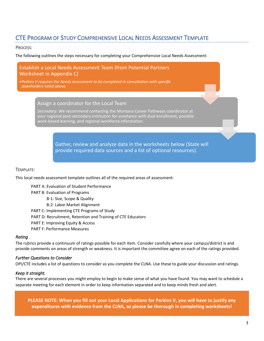## <span id="page-4-0"></span>CTE PROGRAM OF STUDY COMPREHENSIVE LOCAL NEEDS ASSESSMENT TEMPLATE

#### <span id="page-4-1"></span>PROCESS:

The following outlines the steps necessary for completing your Comprehensive Local Needs Assessment:

## Establish a Local Needs Assessment Team (from Potential Partners Worksheet in Appendix C)

•*Perkins V requires the Needs Assessment to be completed in consultation with specific stakeholders listed above.* 

Assign a coordinator for the Local Team

*Secondary: W*e recommend contacting the Montana Career Pathways coordinator at your regional post-secondary institution for assistance with dual enrollment, possible work-based learning, and regional workforce information.

> Gather, review and analyze data in the worksheets below (State will provide required data sources and a list of optional resources).

#### <span id="page-4-2"></span>TEMPLATE:

This local needs assessment template outlines all of the required areas of assessment:

PART A: Evaluation of Student Performance PART B: Evaluation of Programs B-1: Size, Scope & Quality B-2: Labor Market Alignment PART C: Implementing CTE Programs of Study PART D: Recruitment, Retention and Training of CTE Educators PART E: Improving Equity & Access PART F: Performance Measures

#### *Rating*

The rubrics provide a continuum of ratings possible for each item. Consider carefully where your campus/district is and provide comments on areas of strength or weakness. It is important the committee agree on each of the ratings provided.

#### *Further Questions to Consider*

OPI/CTE includes a list of questions to consider as you complete the CLNA. Use these to guide your discussion and ratings.

## *Keep it straight.*

There are several processes you might employ to begin to make sense of what you have found. You may want to schedule a separate meeting for each element in order to keep information separated and to keep minds fresh and alert.

**PLEASE NOTE: When you fill out your Local Applications for Perkins V, you will have to justify any expenditures with evidence from the CLNA, so please be thorough in completing worksheets!**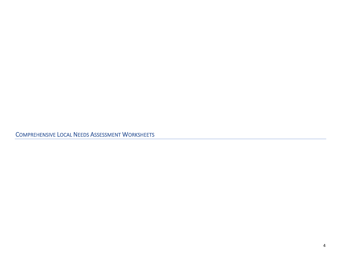<span id="page-5-0"></span>COMPREHENSIVE LOCAL NEEDS ASSESSMENT WORKSHEETS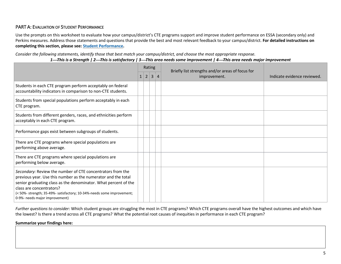## PART A: EVALUATION OF STUDENT PERFORMANCE

Use the prompts on this worksheet to evaluate how your campus/district's CTE programs support and improve student performance on ESSA (secondary only) and Perkins measures. Address those statements and questions that provide the best and most relevant feedback to your campus/district. **For detailed instructions on completing this section, please see[: Student Performance.](#page-15-1)**

*Consider the following statements, identify those that best match your campus/district, and choose the most appropriate response.*

*1*⎯*This is a Strength | 2*⎯*This is satisfactory | 3*⎯*This area needs some improvement | 4*⎯*This area needs major improvement*

<span id="page-6-0"></span>

|                                                                                                                                                                                                                                                                                                                                        |   | Rating         |                |                | Briefly list strengths and/or areas of focus for |                             |
|----------------------------------------------------------------------------------------------------------------------------------------------------------------------------------------------------------------------------------------------------------------------------------------------------------------------------------------|---|----------------|----------------|----------------|--------------------------------------------------|-----------------------------|
|                                                                                                                                                                                                                                                                                                                                        | 1 | $\overline{2}$ | 3 <sup>1</sup> | $\overline{4}$ | improvement.                                     | Indicate evidence reviewed. |
| Students in each CTE program perform acceptably on federal<br>accountability indicators in comparison to non-CTE students.                                                                                                                                                                                                             |   |                |                |                |                                                  |                             |
| Students from special populations perform acceptably in each<br>CTE program.                                                                                                                                                                                                                                                           |   |                |                |                |                                                  |                             |
| Students from different genders, races, and ethnicities perform<br>acceptably in each CTE program.                                                                                                                                                                                                                                     |   |                |                |                |                                                  |                             |
| Performance gaps exist between subgroups of students.                                                                                                                                                                                                                                                                                  |   |                |                |                |                                                  |                             |
| There are CTE programs where special populations are<br>performing above average.                                                                                                                                                                                                                                                      |   |                |                |                |                                                  |                             |
| There are CTE programs where special populations are<br>performing below average.                                                                                                                                                                                                                                                      |   |                |                |                |                                                  |                             |
| Secondary: Review the number of CTE concentrators from the<br>previous year. Use this number as the numerator and the total<br>senior graduating class as the denominator. What percent of the<br>class are concentrators?<br>(< 50%- strength; 35-49%- satisfactory; 10-34%-needs some improvement;<br>0-9%- needs major improvement) |   |                |                |                |                                                  |                             |

*Further questions to consider:* Which student groups are struggling the most in CTE programs? Which CTE programs overall have the highest outcomes and which have the lowest? Is there a trend across all CTE programs? What the potential root causes of inequities in performance in each CTE program?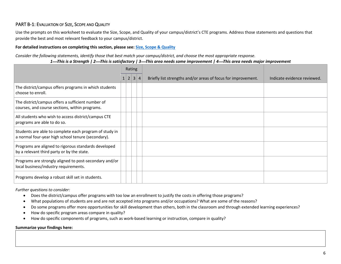## PART B-1: EVALUATION OF SIZE, SCOPE AND QUALITY

Use the prompts on this worksheet to evaluate the Size, Scope, and Quality of your campus/district's CTE programs. Address those statements and questions that provide the best and most relevant feedback to your campus/district.

#### **For detailed instructions on completing this section, please see: [Size, Scope & Quality](#page-15-2)**

*Consider the following statements, identify those that best match your campus/district, and choose the most appropriate response.*

*1*⎯*This is a Strength | 2*⎯*This is satisfactory | 3*⎯*This area needs some improvement | 4*⎯*This area needs major improvement*

<span id="page-7-0"></span>

|                                                                                                              | Rating       |   |   |         |                                                               |                             |
|--------------------------------------------------------------------------------------------------------------|--------------|---|---|---------|---------------------------------------------------------------|-----------------------------|
|                                                                                                              | $\mathbf{1}$ | 2 | 3 | $\vert$ | Briefly list strengths and/or areas of focus for improvement. | Indicate evidence reviewed. |
| The district/campus offers programs in which students<br>choose to enroll.                                   |              |   |   |         |                                                               |                             |
| The district/campus offers a sufficient number of<br>courses, and course sections, within programs.          |              |   |   |         |                                                               |                             |
| All students who wish to access district/campus CTE<br>programs are able to do so.                           |              |   |   |         |                                                               |                             |
| Students are able to complete each program of study in<br>a normal four-year high school tenure (secondary). |              |   |   |         |                                                               |                             |
| Programs are aligned to rigorous standards developed<br>by a relevant third party or by the state.           |              |   |   |         |                                                               |                             |
| Programs are strongly aligned to post-secondary and/or<br>local business/industry requirements.              |              |   |   |         |                                                               |                             |
| Programs develop a robust skill set in students.                                                             |              |   |   |         |                                                               |                             |

*Further questions to consider:*

- Does the district/campus offer programs with too low an enrollment to justify the costs in offering those programs?
- What populations of students are and are not accepted into programs and/or occupations? What are some of the reasons?
- Do some programs offer more opportunities for skill development than others, both in the classroom and through extended learning experiences?
- How do specific program areas compare in quality?
- How do specific components of programs, such as work-based learning or instruction, compare in quality?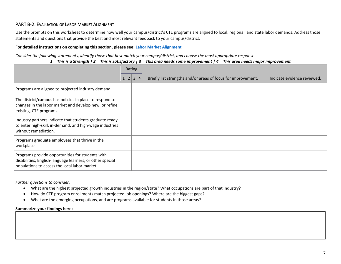## PART B-2: EVALUATION OF LABOR MARKET ALIGNMENT

Use the prompts on this worksheet to determine how well your campus/district's CTE programs are aligned to local, regional, and state labor demands. Address those statements and questions that provide the best and most relevant feedback to your campus/district.

#### **For detailed instructions on completing this section, please see: [Labor Market Alignment](#page-18-2)**

*Consider the following statements, identify those that best match your campus/district, and choose the most appropriate response.*

<span id="page-8-0"></span>

|                                                                                                                                                                | Rating |       |  |                |                                                               |                             |
|----------------------------------------------------------------------------------------------------------------------------------------------------------------|--------|-------|--|----------------|---------------------------------------------------------------|-----------------------------|
|                                                                                                                                                                |        | 1 2 3 |  | $\overline{4}$ | Briefly list strengths and/or areas of focus for improvement. | Indicate evidence reviewed. |
| Programs are aligned to projected industry demand.                                                                                                             |        |       |  |                |                                                               |                             |
| The district/campus has policies in place to respond to<br>changes in the labor market and develop new, or refine<br>existing, CTE programs.                   |        |       |  |                |                                                               |                             |
| Industry partners indicate that students graduate ready<br>to enter high-skill, in-demand, and high-wage industries<br>without remediation.                    |        |       |  |                |                                                               |                             |
| Programs graduate employees that thrive in the<br>workplace                                                                                                    |        |       |  |                |                                                               |                             |
| Programs provide opportunities for students with<br>disabilities, English-language learners, or other special<br>populations to access the local labor market. |        |       |  |                |                                                               |                             |

*Further questions to consider:*

- What are the highest projected growth industries in the region/state? What occupations are part of that industry?
- How do CTE program enrollments match projected job openings? Where are the biggest gaps?
- What are the emerging occupations, and are programs available for students in those areas?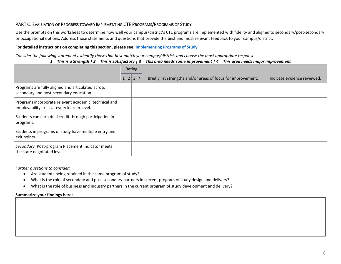## PART C: EVALUATION OF PROGRESS TOWARD IMPLEMENTING CTE PROGRAMS/PROGRAMS OF STUDY

Use the prompts on this worksheet to determine how well your campus/district's CTE programs are implemented with fidelity and aligned to secondary/post-secondary or occupational options. Address those statements and questions that provide the best and most relevant feedback to your campus/district.

### **For detailed instructions on completing this section, please see: [Implementing Programs of Study](#page-18-3)**

*Consider the following statements, identify those that best match your campus/district, and choose the most appropriate response.*

*1*⎯*This is a Strength | 2*⎯*This is satisfactory | 3*⎯*This area needs some improvement | 4*⎯*This area needs major improvement*

<span id="page-9-0"></span>

|                                                                                                       | Rating |                          |  |                                                               |                             |
|-------------------------------------------------------------------------------------------------------|--------|--------------------------|--|---------------------------------------------------------------|-----------------------------|
|                                                                                                       |        | $1\vert 2\vert 3\vert 4$ |  | Briefly list strengths and/or areas of focus for improvement. | Indicate evidence reviewed. |
| Programs are fully aligned and articulated across<br>secondary and post-secondary education.          |        |                          |  |                                                               |                             |
| Programs incorporate relevant academic, technical and<br>employability skills at every learner level. |        |                          |  |                                                               |                             |
| Students can earn dual credit through participation in<br>programs.                                   |        |                          |  |                                                               |                             |
| Students in programs of study have multiple entry and<br>exit points.                                 |        |                          |  |                                                               |                             |
| Secondary: Post-program Placement Indicator meets<br>the state negotiated level.                      |        |                          |  |                                                               |                             |

*Further questions to consider:*

- Are students being retained in the same program of study?
- What is the role of secondary and post-secondary partners in current program of study design and delivery?
- What is the role of business and industry partners in the current program of study development and delivery?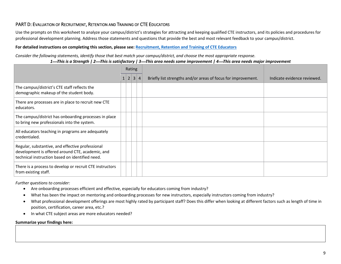## PART D: EVALUATION OF RECRUITMENT, RETENTION AND TRAINING OF CTE EDUCATORS

Use the prompts on this worksheet to analyze your campus/district's strategies for attracting and keeping qualified CTE instructors, and its policies and procedures for professional development planning. Address those statements and questions that provide the best and most relevant feedback to your campus/district.

#### **For detailed instructions on completing this section, please see: [Recruitment, Retention and Training of CTE Educators](#page-19-1)**

*Consider the following statements, identify those that best match your campus/district, and choose the most appropriate response.*

*1*⎯*This is a Strength | 2*⎯*This is satisfactory | 3*⎯*This area needs some improvement | 4*⎯*This area needs major improvement*

<span id="page-10-0"></span>

|                                                                                                                                                         | Rating |   |   |         |                                                               |                             |
|---------------------------------------------------------------------------------------------------------------------------------------------------------|--------|---|---|---------|---------------------------------------------------------------|-----------------------------|
|                                                                                                                                                         |        | 2 | 3 | $\vert$ | Briefly list strengths and/or areas of focus for improvement. | Indicate evidence reviewed. |
| The campus/district's CTE staff reflects the<br>demographic makeup of the student body.                                                                 |        |   |   |         |                                                               |                             |
| There are processes are in place to recruit new CTE<br>educators.                                                                                       |        |   |   |         |                                                               |                             |
| The campus/district has onboarding processes in place<br>to bring new professionals into the system.                                                    |        |   |   |         |                                                               |                             |
| All educators teaching in programs are adequately<br>credentialed.                                                                                      |        |   |   |         |                                                               |                             |
| Regular, substantive, and effective professional<br>development is offered around CTE, academic, and<br>technical instruction based on identified need. |        |   |   |         |                                                               |                             |
| There is a process to develop or recruit CTE instructors<br>from existing staff.                                                                        |        |   |   |         |                                                               |                             |

*Further questions to consider:*

- Are onboarding processes efficient and effective, especially for educators coming from industry?
- What has been the impact on mentoring and onboarding processes for new instructors, especially instructors coming from industry?
- What professional development offerings are most highly rated by participant staff? Does this differ when looking at different factors such as length of time in position, certification, career area, etc.?
- In what CTE subject areas are more educators needed?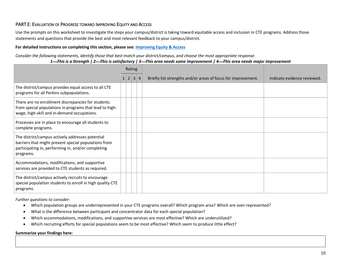## PART E: EVALUATION OF PROGRESS TOWARD IMPROVING EQUITY AND ACCESS

Use the prompts on this worksheet to investigate the steps your campus/district is taking toward equitable access and inclusion in CTE programs. Address those statements and questions that provide the best and most relevant feedback to your campus/district.

#### **For detailed instructions on completing this section, please see: [Improving Equity & Access](#page-20-1)**

*Consider the following statements, identify those that best match your district/campus, and choose the most appropriate response.*

<span id="page-11-0"></span>

|                                                                                                                                                                             | Rating |     |   |                |                                                               |                             |
|-----------------------------------------------------------------------------------------------------------------------------------------------------------------------------|--------|-----|---|----------------|---------------------------------------------------------------|-----------------------------|
|                                                                                                                                                                             |        | 1 2 | 3 | $\overline{4}$ | Briefly list strengths and/or areas of focus for improvement. | Indicate evidence reviewed. |
| The district/campus provides equal access to all CTE<br>programs for all Perkins subpopulations.                                                                            |        |     |   |                |                                                               |                             |
| There are no enrollment discrepancies for students<br>from special populations in programs that lead to high-<br>wage, high-skill and in-demand occupations.                |        |     |   |                |                                                               |                             |
| Processes are in place to encourage all students to<br>complete programs.                                                                                                   |        |     |   |                |                                                               |                             |
| The district/campus actively addresses potential<br>barriers that might prevent special populations from<br>participating in, performing in, and/or completing<br>programs. |        |     |   |                |                                                               |                             |
| Accommodations, modifications, and supportive<br>services are provided to CTE students as required.                                                                         |        |     |   |                |                                                               |                             |
| The district/campus actively recruits to encourage<br>special population students to enroll in high quality CTE<br>programs.                                                |        |     |   |                |                                                               |                             |

*Further questions to consider:*

- Which population groups are underrepresented in your CTE programs overall? Which program area? Which are over-represented?
- What is the difference between participant and concentrator data for each special population?
- Which accommodations, modifications, and supportive services are most effective? Which are underutilized?
- Which recruiting efforts for special populations seem to be most effective? Which seem to produce little effect?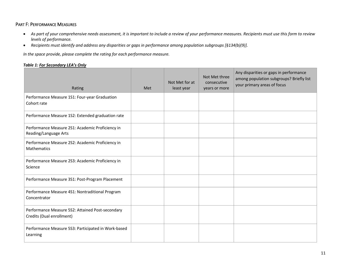## PART F: PERFORMANCE MEASURES

- *As part of your comprehensive needs assessment, it is important to include a review of your performance measures. Recipients must use this form to review levels of performance.*
- *Recipients must identify and address any disparities or gaps in performance among population subgroups [§134(b)(9)].*

*In the space provide, please complete the rating for each performance measure.*

#### *Table 1: For Secondary LEA's Only*

<span id="page-12-0"></span>

| Rating                                                                        | Met | Not Met for at<br>least year | Not Met three<br>consecutive<br>years or more | Any disparities or gaps in performance<br>among population subgroups? Briefly list<br>your primary areas of focus |
|-------------------------------------------------------------------------------|-----|------------------------------|-----------------------------------------------|-------------------------------------------------------------------------------------------------------------------|
| Performance Measure 1S1: Four-year Graduation<br>Cohort rate                  |     |                              |                                               |                                                                                                                   |
| Performance Measure 1S2: Extended graduation rate                             |     |                              |                                               |                                                                                                                   |
| Performance Measure 2S1: Academic Proficiency in<br>Reading/Language Arts     |     |                              |                                               |                                                                                                                   |
| Performance Measure 2S2: Academic Proficiency in<br>Mathematics               |     |                              |                                               |                                                                                                                   |
| Performance Measure 2S3: Academic Proficiency in<br>Science                   |     |                              |                                               |                                                                                                                   |
| Performance Measure 3S1: Post-Program Placement                               |     |                              |                                               |                                                                                                                   |
| Performance Measure 4S1: Nontraditional Program<br>Concentrator               |     |                              |                                               |                                                                                                                   |
| Performance Measure 5S2: Attained Post-secondary<br>Credits (Dual enrollment) |     |                              |                                               |                                                                                                                   |
| Performance Measure 5S3: Participated in Work-based<br>Learning               |     |                              |                                               |                                                                                                                   |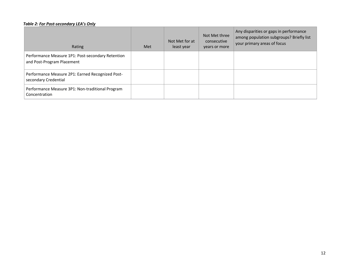#### *Table 2: For Post-secondary LEA's Only*

| Rating                                                                          | Met | Not Met for at<br>least year | Not Met three<br>consecutive<br>years or more | Any disparities or gaps in performance<br>among population subgroups? Briefly list<br>your primary areas of focus |
|---------------------------------------------------------------------------------|-----|------------------------------|-----------------------------------------------|-------------------------------------------------------------------------------------------------------------------|
| Performance Measure 1P1: Post-secondary Retention<br>and Post-Program Placement |     |                              |                                               |                                                                                                                   |
| Performance Measure 2P1: Earned Recognized Post-<br>secondary Credential        |     |                              |                                               |                                                                                                                   |
| Performance Measure 3P1: Non-traditional Program<br>Concentration               |     |                              |                                               |                                                                                                                   |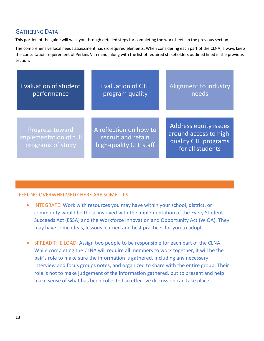## <span id="page-14-0"></span>GATHERING DATA

This portion of the guide will walk you through detailed steps for completing the worksheets in the previous section.

The comprehensive local needs assessment has six required elements. When considering each part of the CLNA, always keep the consultation requirement of Perkins V in mind, along with the list of required stakeholders outlined lined in the previous section.

| <b>Evaluation of student</b>                                   | <b>Evaluation of CTE</b>                                               | Alignment to industry                                                                              |
|----------------------------------------------------------------|------------------------------------------------------------------------|----------------------------------------------------------------------------------------------------|
| performance                                                    | program quality                                                        | needs                                                                                              |
| Progress toward<br>implementation of full<br>programs of study | A reflection on how to<br>recruit and retain<br>high-quality CTE staff | <b>Address equity issues</b><br>around access to high-<br>quality CTE programs<br>for all students |

## FEELING OVERWHELMED? HERE ARE SOME TIPS:

- INTEGRATE: Work with resources you may have within your school, district, or community would be those involved with the implementation of the Every Student Succeeds Act (ESSA) and the Workforce Innovation and Opportunity Act (WIOA). They may have some ideas, lessons learned and best practices for you to adopt.
- SPREAD THE LOAD: Assign two people to be responsible for each part of the CLNA. While completing the CLNA will require all members to work together, it will be the pair's role to make sure the information is gathered, including any necessary interview and focus groups notes, and organized to share with the entire group. Their role is not to make judgement of the information gathered, but to present and help make sense of what has been collected so effective discussion can take place.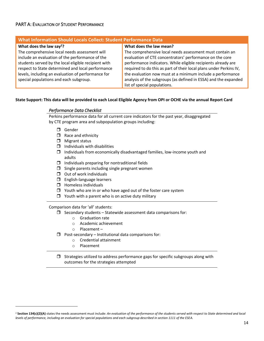## <span id="page-15-1"></span><span id="page-15-0"></span>PART A: EVALUATION OF STUDENT PERFORMANCE

| What Information Should Locals Collect: Student Performance Data |                                                                    |  |
|------------------------------------------------------------------|--------------------------------------------------------------------|--|
| What does the law say <sup>2</sup> ?                             | What does the law mean?                                            |  |
| The comprehensive local needs assessment will                    | The comprehensive local needs assessment must contain an           |  |
| include an evaluation of the performance of the                  | evaluation of CTE concentrators' performance on the core           |  |
| students served by the local eligible recipient with             | performance indicators. While eligible recipients already are      |  |
| respect to State determined and local performance                | required to do this as part of their local plans under Perkins IV, |  |
| levels, including an evaluation of performance for               | the evaluation now must at a minimum include a performance         |  |
| special populations and each subgroup.                           | analysis of the subgroups (as defined in ESSA) and the expanded    |  |
|                                                                  | list of special populations.                                       |  |

#### **State Support: This data will be provided to each Local Eligible Agency from OPI or OCHE via the annual Report Card**

#### *Performance Data Checklist*

Perkins performance data for all current core indicators for the past year, disaggregated by CTE program area and subpopulation groups including:

- Gender
- $\Box$  Race and ethnicity
- $\Box$  Migrant status
- $\Box$  Individuals with disabilities
- $\Box$  Individuals from economically disadvantaged families, low-income youth and adults
- $\Box$  Individuals preparing for nontraditional fields
- $\Box$  Single parents including single pregnant women
- $\Box$  Out of work individuals
- **I** English-language learners
- $\Box$  Homeless individuals
- $\Box$  Youth who are in or who have aged out of the foster care system
- $\Box$  Youth with a parent who is on active duty military

<span id="page-15-2"></span>Comparison data for 'all' students:

- $\Box$  Secondary students Statewide assessment data comparisons for:
	- o Graduation rate
	- o Academic achievement
	- o Placement –
- $\Box$  Post-secondary Institutional data comparisons for:
	- o Credential attainment
	- o Placement
- $\Box$  Strategies utilized to address performance gaps for specific subgroups along with outcomes for the strategies attempted

<sup>&</sup>lt;sup>2</sup> Section 134(c)(2)(A) states the needs assessment must include: An evaluation of the performance of the students served with respect to State determined and local *levels of performance, including an evaluation for special populations and each subgroup described in section 1111 of the ESEA.*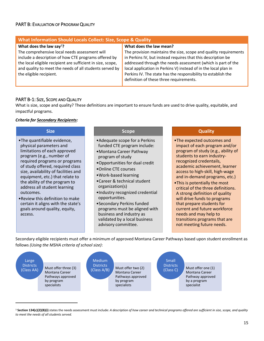## <span id="page-16-0"></span>PART B: EVALUATION OF PROGRAM QUALITY

| What Information Should Locals Collect: Size, Scope & Quality |                                                                  |  |
|---------------------------------------------------------------|------------------------------------------------------------------|--|
| What does the law say <sup>3</sup> ?                          | What does the law mean?                                          |  |
| The comprehensive local needs assessment will                 | The provision maintains the size, scope and quality requirements |  |
| include a description of how CTE programs offered by          | in Perkins IV, but instead requires that this description be     |  |
| the local eligible recipient are sufficient in size, scope,   | addressed through the needs assessment (which is part of the     |  |
| and quality to meet the needs of all students served by       | local application in Perkins V) instead of in the local plan in  |  |
| the eligible recipient.                                       | Perkins IV. The state has the responsibility to establish the    |  |
|                                                               | definition of these three requirements.                          |  |
|                                                               |                                                                  |  |

## <span id="page-16-1"></span>PART B-1: SIZE, SCOPE AND QUALITY

What is size, scope and quality? These definitions are important to ensure funds are used to drive quality, equitable, and impactful programs.

#### *Criteria for Secondary Recipients:*

#### **Size**

- •The quantifiable evidence, physical parameters and limitations of each approved program (e.g., number of required programs or programs of study offered, required class size, availability of facilities and equipment, etc.) that relate to the ability of the program to address all student learning outcomes.
- •Review this definition to make certain it aligns with the state's goals around quality, equity, access.

#### **Scope**

- •Adequate scope for a Perkins funded CTE program include:
- •Montana Career Pathway program of study
- •Opportunities for dual credit
- •Online CTE courses
- •Work-based learning
- •Career & technical student organization(s)
- •Industry recognized credential opportunities.
- •Secondary Perkins funded programs must be aligned with business and industry as validated by a local business advisory committee.

#### **Quality**

- •The expected outcomes and impact of each program and/or program of study (e.g., ability of students to earn industryrecognized credentails, academic achievement, learner access to high-skill, high-wage and in-demand programs, etc.)
- •This is potentially the most critical of the three definitions. A strong definition of quality will drive funds to programs that prepare students for current and future workforce needs and may help to transitions programs that are not meeting future needs.

Secondary eligible recipients must offer a minimum of approved Montana Career Pathways based upon student enrollment as follows *(Using the MSHA criteria of school size)*:



<sup>3</sup> Section 134(c)(2)(B)(i) states the needs assessment must include: *A description of how career and technical programs offered are sufficient in size, scope, and quality to meet the needs of all students served.*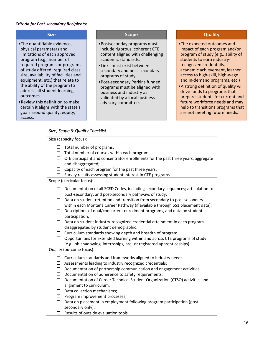### *Criteria for Post-secondary Recipients:*

### **Size**

- •The quantifiable evidence, physical parameters and limitations of each approved program (e.g., number of required programs or programs of study offered, required class size, availability of facilities and equipment, etc.) that relate to the ability of the program to address all student learning outcomes.
- •Review this definition to make certain it aligns with the state's goals around quality, equity, access.

#### **Scope**

- •Postseconday programs must include rigorous, coherent CTE content aligned with challenging academic standards.
- •Links must exist between secondary and post-secondary programs of study.
- •Post-secondary Perkins funded programs must be aligned with business and industry as validated by a local business advisory committee.

#### **Quality**

- •The expected outcomes and impact of each program and/or program of study (e.g., ability of students to earn industryrecognized credentails, academic achievement, learner access to high-skill, high-wage and in-demand programs, etc.)
- •A strong definition of quality will drive funds to programs that prepare students for current and future workforce needs and may help to transitions programs that are not meeting future needs.

## *Size, Scope & Quality Checklist*

Size (capacity focus):

- $\Box$  Total number of programs;
- $\Box$  Total number of courses within each program;
- $\Box$  CTE participant and concentrator enrollments for the past three years, aggregate and disaggregated;
- $\Box$  Capacity of each program for the past three years;
- $\square$  Survey results assessing student interest in CTE programs

Scope (curricular focus):

- $\Box$  Documentation of all SCED Codes, including secondary sequences; articulation to post-secondary; and post-secondary pathways of study;
- $\Box$  Data on student retention and transition from secondary to post-secondary within each Montana Career Pathway (if available through 5S1 placement data);
- $\square$  Descriptions of dual/concurrent enrollment programs, and data on student participation;
- $\Box$  Data on student industry-recognized credential attainment in each program disaggregated by student demographic;
- $\Box$  Curriculum standards showing depth and breadth of program;
- $\Box$  Opportunities for extended learning within and across CTE programs of study (e.g. job-shadowing, internships, pre- or registered apprenticeships).

Quality (outcome focus):

- $\Box$  Curriculum standards and frameworks aligned to industry need;
- $\Box$  Assessments leading to industry recognized credentials;
- $\square$  Documentation of partnership communication and engagement activities;
- $\Box$  Documentation of adherence to safety requirements;
- Documentation of Career Technical Student Organization (CTSO) activities and alignment to curriculum;
- $\square$  Data collection mechanisms;
- $\Box$  Program improvement processes;
- $\square$  Data on placement in employment following program participation (postsecondary only);
- $\Box$  Results of outside evaluation tools.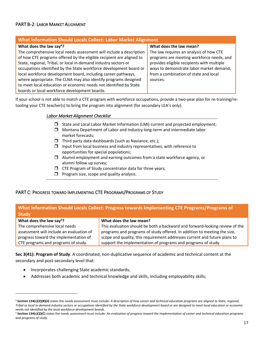## <span id="page-18-2"></span><span id="page-18-0"></span>PART B-2: LABOR MARKET ALIGNMENT

| <b>What Information Should Locals Collect: Labor Market Alignment</b>                                                                                                                                                                                                                                                                                                                                                                                                                                                                                                                  |                                                                                                                                                                                                                                                                |  |  |
|----------------------------------------------------------------------------------------------------------------------------------------------------------------------------------------------------------------------------------------------------------------------------------------------------------------------------------------------------------------------------------------------------------------------------------------------------------------------------------------------------------------------------------------------------------------------------------------|----------------------------------------------------------------------------------------------------------------------------------------------------------------------------------------------------------------------------------------------------------------|--|--|
| What does the law say <sup>4</sup> ?<br>The comprehensive local needs assessment will include a description<br>of how CTE programs offered by the eligible recipient are aligned to<br>State, regional, Tribal, or local in-demand industry sectors or<br>occupations identified by the State workforce development board or<br>local workforce development board, including career pathways,<br>where appropriate. The CLNA may also identify programs designed<br>to meet local education or economic needs not identified by State<br>boards or local workforce development boards. | What does the law mean?<br>The law requires an analysis of how CTE<br>programs are meeting workforce needs, and<br>provides eligible recipients with multiple<br>ways to demonstrate labor market demand,<br>from a combination of state and local<br>sources. |  |  |

<span id="page-18-3"></span>If your school is not able to match a CTE program with workforce occupations, provide a two-year plan for re-training/retooling your CTE teacher(s) to bring the program into alignment (for secondary LEA's only).

#### *Labor Market Alignment Checklist*

- $\Box$  State and Local Labor Market Information (LMI) current and projected employment;
- Montana Department of Labor and Industry long-term and intermediate labor market forecasts;
- $\Box$  Third party data dashboards (such as Naviance, etc.);
- $\Box$  Input from local business and industry representatives, with reference to opportunities for special populations;
- $\Box$  Alumni employment and earning outcomes from a state workforce agency, or alumni follow up survey;
- $\Box$  CTE Program of Study concentrator data for three years;
- $\Box$  Program size, scope and quality analysis.

## <span id="page-18-1"></span>PART C: PROGRESS TOWARD IMPLEMENTING CTE PROGRAMS/PROGRAMS OF STUDY

## **What Information Should Locals Collect: Progress towards Implementing CTE Programs/Programs of Study**

| What does the law say <sup>5</sup> ?     | What does the law mean?                                                     |
|------------------------------------------|-----------------------------------------------------------------------------|
| The comprehensive local needs            | This evaluation should be both a backward and forward-looking review of the |
| assessment will include an evaluation of | programs and programs of study offered. In addition to meeting the size,    |
| progress toward the implementation of    | scope and quality, this requirement addresses current and future plans to   |
| CTE programs and programs of study.      | support the implementation of programs and programs of study.               |
|                                          |                                                                             |

**Sec 3(41): Program of Study**. A coordinated, non-duplicative sequence of academic and technical content at the secondary and post-secondary level that:

- Incorporates challenging State academic standards;
- Addresses both academic and technical knowledge and skills, including employability skills;

<sup>4</sup> **Section 134(c)(2)(B)(ii)** states the needs assessment must include: *A description of how career and technical education programs are aligned to State, regional, Tribal or local in-demand industry sectors or occupations identified by the State workforce development board or are designed to meet local education or economic needs not identified by the local workforce development boards.*

<sup>5</sup> **Section 134(c)(2)(C)** states the needs assessment must include: *An evaluation of progress toward the implementation of career and technical education programs and programs of study.*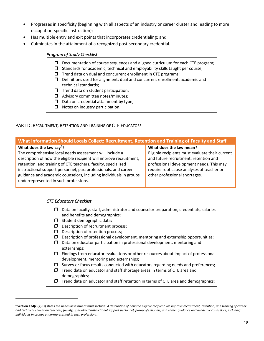- Progresses in specificity (beginning with all aspects of an industry or career cluster and leading to more occupation-specific instruction);
- Has multiple entry and exit points that incorporates credentialing; and
- <span id="page-19-1"></span>• Culminates in the attainment of a recognized post-secondary credential.

## *Program of Study Checklist*

- Documentation of course sequences and aligned curriculum for each CTE program;
- $\Box$  Standards for academic, technical and employability skills taught per course;
- $\Box$  Trend data on dual and concurrent enrollment in CTE programs;
- $\Box$  Definitions used for alignment, dual and concurrent enrollment, academic and technical standards;
- $\Box$  Trend data on student participation;
- $\Box$  Advisory committee notes/minutes;
- $\Box$  Data on credential attainment by type;
- $\Box$  Notes on industry participation.

## <span id="page-19-0"></span>PART D: RECRUITMENT, RETENTION AND TRAINING OF CTE EDUCATORS

| What Information Should Locals Collect: Recruitment, Retention and Training of Faculty and Staff                                                                                                                                                                                                                                                                                                                        |                                                                                                                                                                                                                                               |  |
|-------------------------------------------------------------------------------------------------------------------------------------------------------------------------------------------------------------------------------------------------------------------------------------------------------------------------------------------------------------------------------------------------------------------------|-----------------------------------------------------------------------------------------------------------------------------------------------------------------------------------------------------------------------------------------------|--|
| What does the law say <sup>6</sup> ?<br>The comprehensive local needs assessment will include a<br>description of how the eligible recipient will improve recruitment,<br>retention, and training of CTE teachers, faculty, specialized<br>instructional support personnel, paraprofessionals, and career<br>guidance and academic counselors, including individuals in groups<br>underrepresented in such professions. | What does the law mean?<br>Eligible recipients must evaluate their current<br>and future recruitment, retention and<br>professional development needs. This may<br>require root cause analyses of teacher or<br>other professional shortages. |  |

#### *CTE Educators Checklist*

- $\Box$  Data on faculty, staff, administrator and counselor preparation, credentials, salaries and benefits and demographics;
- $\Box$  Student demographic data;
- $\Box$  Description of recruitment process;
- $\Box$  Description of retention process;
- $\Box$  Description of professional development, mentoring and externship opportunities;
- $\square$  Data on educator participation in professional development, mentoring and externships;
- $\Box$  Findings from educator evaluations or other resources about impact of professional development, mentoring and externships;
- $\Box$  Survey or focus results conducted with educators regarding needs and preferences;
- $\Box$  Trend data on educator and staff shortage areas in terms of CTE area and demographics;
- $\Box$  Trend data on educator and staff retention in terms of CTE area and demographics;

<sup>&</sup>lt;sup>6</sup> Section 134(c)(2)(D) states the needs assessment must include: *A description of how the eligible recipient will improve recruitment, retention, and training of career and technical education teachers, faculty, specialized instructional support personnel, paraprofessionals, and career guidance and academic counselors, including individuals in groups underrepresented in such professions.*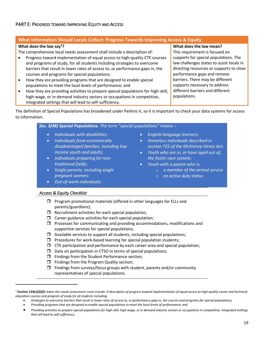## <span id="page-20-1"></span><span id="page-20-0"></span>**What Information Should Locals Collect: Progress Towards Improving Access & Equity**

#### **What does the law say<sup>7</sup>?**

The comprehensive local needs assessment shall include a description of:

- Progress toward implementation of equal access to high-quality CTE courses and programs of study, for all students including strategies to overcome barriers that result in lower rates of access to, or performance gaps in, the courses and programs for special populations;
- How they are providing programs that are designed to enable special populations to meet the local levels of performance; and
- How they are providing activities to prepare special populations for high-skill, high-wage, or in-demand industry sectors or occupations in competitive, integrated settings that will lead to self-sufficiency.

**What does the law mean?** This requirement is focused on supports for special populations. The law challenges states to assist locals in directing resources or supports to close performance gaps and remove barriers. There may be different supports necessary to address different barriers and different populations.

The definition of Special Populations has broadened under Perkins V, so it is important to check your data systems for access to information.

*Sec. 3(48) Special Populations. The term "special populations" means –*

- *Individuals with disabilities;*
- *Individuals from economically disadvantaged families, including low income youth and adults;*
- *Individuals preparing for nontraditional fields;*
- *Single parents, including single pregnant women;*
- *Out-of-work-individuals;*
- *English-language learners;*
- *Homeless individuals described in section 725 of the McKinney-Vento Act;*
- *Youth who are in, or have aged out of, the foster care system;*
- *Youth with a parent who is:*
	- o *a member of the armed service*
	- o *on active duty status*

#### *Access & Equity Checklist*

- $\Box$  Program promotional materials (offered in other languages for ELLs and parents/guardians);
- $\Box$  Recruitment activities for each special population;
- $\Box$  Career guidance activities for each special population;
- $\Box$  Processes for communicating and providing accommodations, modifications and supportive services for special populations;
- $\Box$  Available services to support all students, including special populations;
- $\Box$  Procedures for work-based learning for special population students;
- $\Box$  CTE participation and performance by each career area and special population;
- $\square$  Data on participation in CTSO in terms of special populations;
- $\Box$  Findings from the Student Performance section;
- $\Box$  Findings from the Program Quality section;
- $\Box$  Findings from surveys/focus groups with student, parents and/or community representatives of special populations.

• *Providing programs that are designed to enable special populations to meet the local levels of performance; and*

<sup>7</sup> **Section 134(c)(2)(E)** states the needs assessment must include: *A description of progress toward implementation of equal access to high-quality career and technical education courses and program of study for all students including:*

<sup>•</sup> Strategies to overcome barriers that result in lower rates of access to, or performance gaps in, the courses and programs for special populations;

<sup>•</sup> *Providing activities to prepare special populations for high-skill, high-wage, or in demand industry sectors or occupations in competitive, integrated settings that will lead to self-sufficiency.*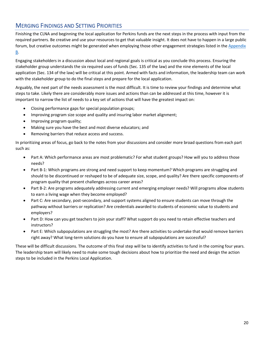## <span id="page-21-0"></span>MERGING FINDINGS AND SETTING PRIORITIES

Finishing the CLNA and beginning the local application for Perkins funds are the next steps in the process with input from the required partners. Be creative and use your resources to get that valuable insight. It does not have to happen in a large public forum, but creative outcomes might be generated when employing those other engagement strategies listed in the [Appendix](#page-23-0)  [B.](#page-23-0)

Engaging stakeholders in a discussion about local and regional goals is critical as you conclude this process. Ensuring the stakeholder group understands the six required uses of funds (Sec. 135 of the law) and the nine elements of the local application (Sec. 134 of the law) will be critical at this point. Armed with facts and information, the leadership team can work with the stakeholder group to do the final steps and prepare for the local application.

Arguably, the next part of the needs assessment is the most difficult. It is time to review your findings and determine what steps to take. Likely there are considerably more issues and actions than can be addressed at this time, however it is important to narrow the list of needs to a key set of actions that will have the greatest impact on:

- Closing performance gaps for special population groups;
- Improving program size scope and quality and insuring labor market alignment;
- Improving program quality;
- Making sure you have the best and most diverse educators; and
- Removing barriers that reduce access and success.

In prioritizing areas of focus, go back to the notes from your discussions and consider more broad questions from each part such as:

- Part A: Which performance areas are most problematic? For what student groups? How will you to address those needs?
- Part B-1: Which programs are strong and need support to keep momentum? Which programs are struggling and should to be discontinued or reshaped to be of adequate size, scope, and quality? Are there specific components of program quality that present challenges across career areas?
- Part B-2: Are programs adequately addressing current and emerging employer needs? Will programs allow students to earn a living wage when they become employed?
- Part C: Are secondary, post-secondary, and support systems aligned to ensure students can move through the pathway without barriers or replication? Are credentials awarded to students of economic value to students and employers?
- Part D: How can you get teachers to join your staff? What support do you need to retain effective teachers and instructors?
- Part E: Which subpopulations are struggling the most? Are there activities to undertake that would remove barriers right away? What long-term solutions do you have to ensure all subpopulations are successful?

These will be difficult discussions. The outcome of this final step will be to identify activities to fund in the coming four years. The leadership team will likely need to make some tough decisions about how to prioritize the need and design the action steps to be included in the Perkins Local Application.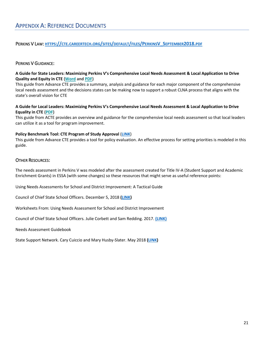<span id="page-22-1"></span><span id="page-22-0"></span>PERKINS V LAW: **HTTPS://CTE.[CAREERTECH](https://cte.careertech.org/sites/default/files/PerkinsV_September2018.pdf).ORG/SITES/DEFAULT/FILES/PERKINSV\_SEPTEMBER2018.PDF**

### <span id="page-22-2"></span>PERKINS V GUIDANCE:

#### **A Guide for State Leaders: Maximizing Perkins V's Comprehensive Local Needs Assessment & Local Application to Drive Quality and Equity in CTE [\(Word](https://cte.careertech.org/sites/default/files/Maximizing_Perkins_Local_Needs_Assessment_10-27-18.docx) and [PDF\)](https://cte.careertech.org/sites/default/files/Maximizing_Perkins_Local_Needs_Assessment_10-27-18.pdf)**

This guide from Advance CTE provides a summary, analysis and guidance for each major component of the comprehensive local needs assessment and the decisions states can be making now to support a robust CLNA process that aligns with the state's overall vision for CTE

#### **A Guide for Local Leaders: Maximizing Perkins V's Comprehensive Local Needs Assessment & Local Application to Drive Equality in CTE [\(PDF\)](https://cte.careertech.org/sites/default/files/Maximizing_Local_Needs_Assessment_LocalLeaders_10-31-2018.pdf)**

This guide from ACTE provides an overview and guidance for the comprehensive local needs assessment so that local leaders can utilize it as a tool for program improvement.

#### **Policy Benchmark Tool: CTE Program of Study Approval** (**[LINK](https://careertech.org/resource/program-approval-policy-benchmark-tool)**)

This guide from Advance CTE provides a tool for policy evaluation. An effective process for setting priorities is modeled in this guide.

#### <span id="page-22-3"></span>OTHER RESOURCES:

The needs assessment in Perkins V was modeled after the assessment created for Title IV-A (Student Support and Academic Enrichment Grants) in ESSA (with some changes) so these resources that might serve as useful reference points:

Using Needs Assessments for School and District Improvement: A Tactical Guide

Council of Chief State School Officers. December 5, 2018 **[\(LINK\)](https://ccsso.org/resource-library/using-needs-assessments-school-and-district-improvement-0)**

Worksheets From: Using Needs Assessment for School and District Improvement

Council of Chief State School Officers. Julie Corbett and Sam Redding. 2017. **[\(LINK\)](https://www.ccsso.org/sites/default/files/2017-12/Worksheets-from-Needs-Assessment.pdf)**

Needs Assessment Guidebook

State Support Network. Cary Cuiccio and Mary Husby-Slater. May 2018 **[\(LINK\)](https://statesupportnetwork.ed.gov/system/files/needsassessmentguidebook-508_003.pdf)**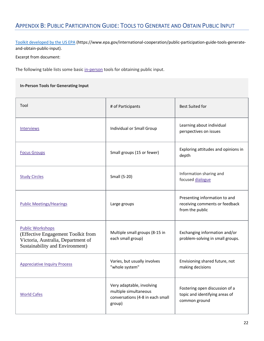# <span id="page-23-0"></span>APPENDIX B: PUBLIC PARTICIPATION GUIDE: TOOLS TO GENERATE AND OBTAIN PUBLIC INPUT

[Toolkit developed by the US EPA](https://www.epa.gov/international-cooperation/public-participation-guide-tools-generate-and-obtain-public-input) (https://www.epa.gov/international-cooperation/public-participation-guide-tools-generateand-obtain-public-input).

Excerpt from document:

The following table lists some basic [in-person](https://www.epa.gov/international-cooperation/public-participation-guide-glossary-guide-terms#inperson) tools for obtaining public input.

**In-Person Tools for Generating Input**

| Tool                                                                                                                                   | # of Participants                                                                                | <b>Best Suited for</b>                                                             |  |
|----------------------------------------------------------------------------------------------------------------------------------------|--------------------------------------------------------------------------------------------------|------------------------------------------------------------------------------------|--|
| <b>Interviews</b>                                                                                                                      | Individual or Small Group                                                                        | Learning about individual<br>perspectives on issues                                |  |
| <b>Focus Groups</b>                                                                                                                    | Small groups (15 or fewer)                                                                       | Exploring attitudes and opinions in<br>depth                                       |  |
| <b>Study Circles</b>                                                                                                                   | Small (5-20)                                                                                     | Information sharing and<br>focused dialogue                                        |  |
| <b>Public Meetings/Hearings</b>                                                                                                        | Large groups                                                                                     | Presenting information to and<br>receiving comments or feedback<br>from the public |  |
| <b>Public Workshops</b><br>(Effective Engagement Toolkit from<br>Victoria, Australia, Department of<br>Sustainability and Environment) | Multiple small groups (8-15 in<br>each small group)                                              | Exchanging information and/or<br>problem-solving in small groups.                  |  |
| <b>Appreciative Inquiry Process</b>                                                                                                    | Varies, but usually involves<br>"whole system"                                                   | Envisioning shared future, not<br>making decisions                                 |  |
| <b>World Cafes</b>                                                                                                                     | Very adaptable, involving<br>multiple simultaneous<br>conversations (4-8 in each small<br>group) | Fostering open discussion of a<br>topic and identifying areas of<br>common ground  |  |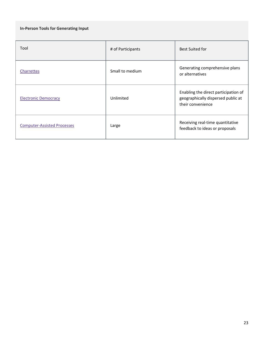## **In-Person Tools for Generating Input**

| Tool                               | # of Participants | <b>Best Suited for</b>                                                                          |
|------------------------------------|-------------------|-------------------------------------------------------------------------------------------------|
| Charrettes                         | Small to medium   | Generating comprehensive plans<br>or alternatives                                               |
| <b>Electronic Democracy</b>        | Unlimited         | Enabling the direct participation of<br>geographically dispersed public at<br>their convenience |
| <b>Computer-Assisted Processes</b> | Large             | Receiving real-time quantitative<br>feedback to ideas or proposals                              |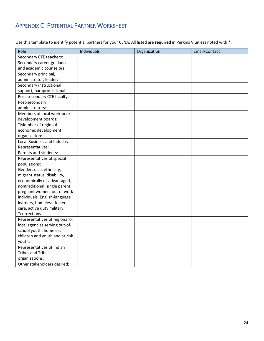# <span id="page-25-0"></span>APPENDIX C: POTENTIAL PARTNER WORKSHEET

Use this template to identify potential partners for your CLNA. All listed are **required** in Perkins V unless noted with \*.

| Role                           | Individuals | Organization | Email/Contact |
|--------------------------------|-------------|--------------|---------------|
| Secondary CTE teachers:        |             |              |               |
| Secondary career guidance      |             |              |               |
| and academic counselors:       |             |              |               |
| Secondary principal,           |             |              |               |
| administrator, leader:         |             |              |               |
| Secondary instructional        |             |              |               |
| support, paraprofessional:     |             |              |               |
| Post-secondary CTE faculty:    |             |              |               |
| Post-secondary                 |             |              |               |
| administrators:                |             |              |               |
| Members of local workforce     |             |              |               |
| development boards:            |             |              |               |
| *Member of regional            |             |              |               |
| economic development           |             |              |               |
| organization:                  |             |              |               |
| Local Business and Industry    |             |              |               |
| Representatives:               |             |              |               |
| Parents and students:          |             |              |               |
| Representatives of special     |             |              |               |
| populations:                   |             |              |               |
| Gender, race, ethnicity,       |             |              |               |
| migrant status, disability,    |             |              |               |
| economically disadvantaged,    |             |              |               |
| nontraditional, single parent, |             |              |               |
| pregnant women, out of work    |             |              |               |
| individuals, English-language  |             |              |               |
| learners, homeless, foster     |             |              |               |
| care, active duty military,    |             |              |               |
| *corrections.                  |             |              |               |
| Representatives of regional or |             |              |               |
| local agencies serving out-of- |             |              |               |
| school youth, homeless         |             |              |               |
| children and youth and at-risk |             |              |               |
| youth:                         |             |              |               |
| Representatives of Indian      |             |              |               |
| <b>Tribes and Tribal</b>       |             |              |               |
| organizations:                 |             |              |               |
| Other stakeholders desired:    |             |              |               |